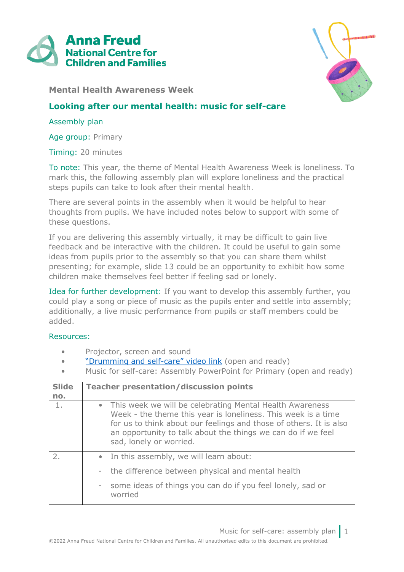



**Mental Health Awareness Week**

## **Looking after our mental health: music for self-care**

## Assembly plan

Age group: Primary

Timing: 20 minutes

To note: This year, the theme of Mental Health Awareness Week is loneliness. To mark this, the following assembly plan will explore loneliness and the practical steps pupils can take to look after their mental health.

There are several points in the assembly when it would be helpful to hear thoughts from pupils. We have included notes below to support with some of these questions.

If you are delivering this assembly virtually, it may be difficult to gain live feedback and be interactive with the children. It could be useful to gain some ideas from pupils prior to the assembly so that you can share them whilst presenting; for example, slide 13 could be an opportunity to exhibit how some children make themselves feel better if feeling sad or lonely.

Idea for further development: If you want to develop this assembly further, you could play a song or piece of music as the pupils enter and settle into assembly; additionally, a live music performance from pupils or staff members could be added.

## Resources:

- Projector, screen and sound
- "[Drumming and self-care](https://youtu.be/7DpfYcqzfTA)" video link (open and ready)
- Music for self-care: Assembly PowerPoint for Primary (open and ready)

| <b>Slide</b>                | <b>Teacher presentation/discussion points</b>                                                                                                                                                                                                                                                |  |  |
|-----------------------------|----------------------------------------------------------------------------------------------------------------------------------------------------------------------------------------------------------------------------------------------------------------------------------------------|--|--|
| no.                         |                                                                                                                                                                                                                                                                                              |  |  |
| 1.                          | • This week we will be celebrating Mental Health Awareness<br>Week - the theme this year is loneliness. This week is a time<br>for us to think about our feelings and those of others. It is also<br>an opportunity to talk about the things we can do if we feel<br>sad, lonely or worried. |  |  |
| $\mathcal{P}_{\mathcal{L}}$ | • In this assembly, we will learn about:                                                                                                                                                                                                                                                     |  |  |
|                             | - the difference between physical and mental health                                                                                                                                                                                                                                          |  |  |
|                             | some ideas of things you can do if you feel lonely, sad or<br>$\overline{\phantom{a}}$<br>worried                                                                                                                                                                                            |  |  |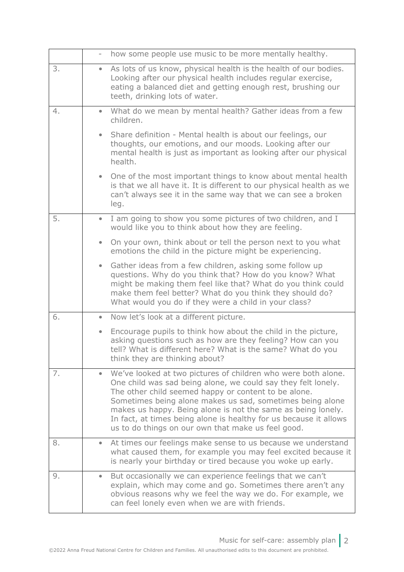|    |                        | how some people use music to be more mentally healthy.                                                                                                                                                                                                                                                                                                                                                                                         |
|----|------------------------|------------------------------------------------------------------------------------------------------------------------------------------------------------------------------------------------------------------------------------------------------------------------------------------------------------------------------------------------------------------------------------------------------------------------------------------------|
| 3. | $\bullet$              | As lots of us know, physical health is the health of our bodies.<br>Looking after our physical health includes regular exercise,<br>eating a balanced diet and getting enough rest, brushing our<br>teeth, drinking lots of water.                                                                                                                                                                                                             |
| 4. | $\bullet$<br>children. | What do we mean by mental health? Gather ideas from a few                                                                                                                                                                                                                                                                                                                                                                                      |
|    | $\bullet$<br>health.   | Share definition - Mental health is about our feelings, our<br>thoughts, our emotions, and our moods. Looking after our<br>mental health is just as important as looking after our physical                                                                                                                                                                                                                                                    |
|    | leg.                   | • One of the most important things to know about mental health<br>is that we all have it. It is different to our physical health as we<br>can't always see it in the same way that we can see a broken                                                                                                                                                                                                                                         |
| 5. | $\bullet$              | I am going to show you some pictures of two children, and I<br>would like you to think about how they are feeling.                                                                                                                                                                                                                                                                                                                             |
|    | $\bullet$              | On your own, think about or tell the person next to you what<br>emotions the child in the picture might be experiencing.                                                                                                                                                                                                                                                                                                                       |
|    | $\bullet$              | Gather ideas from a few children, asking some follow up<br>questions. Why do you think that? How do you know? What<br>might be making them feel like that? What do you think could<br>make them feel better? What do you think they should do?<br>What would you do if they were a child in your class?                                                                                                                                        |
| 6. | $\bullet$              | Now let's look at a different picture.                                                                                                                                                                                                                                                                                                                                                                                                         |
|    | $\bullet$              | Encourage pupils to think how about the child in the picture,<br>asking questions such as how are they feeling? How can you<br>tell? What is different here? What is the same? What do you<br>think they are thinking about?                                                                                                                                                                                                                   |
| 7. |                        | We've looked at two pictures of children who were both alone.<br>One child was sad being alone, we could say they felt lonely.<br>The other child seemed happy or content to be alone.<br>Sometimes being alone makes us sad, sometimes being alone<br>makes us happy. Being alone is not the same as being lonely.<br>In fact, at times being alone is healthy for us because it allows<br>us to do things on our own that make us feel good. |
| 8. |                        | At times our feelings make sense to us because we understand<br>what caused them, for example you may feel excited because it<br>is nearly your birthday or tired because you woke up early.                                                                                                                                                                                                                                                   |
| 9. | $\bullet$              | But occasionally we can experience feelings that we can't<br>explain, which may come and go. Sometimes there aren't any<br>obvious reasons why we feel the way we do. For example, we<br>can feel lonely even when we are with friends.                                                                                                                                                                                                        |